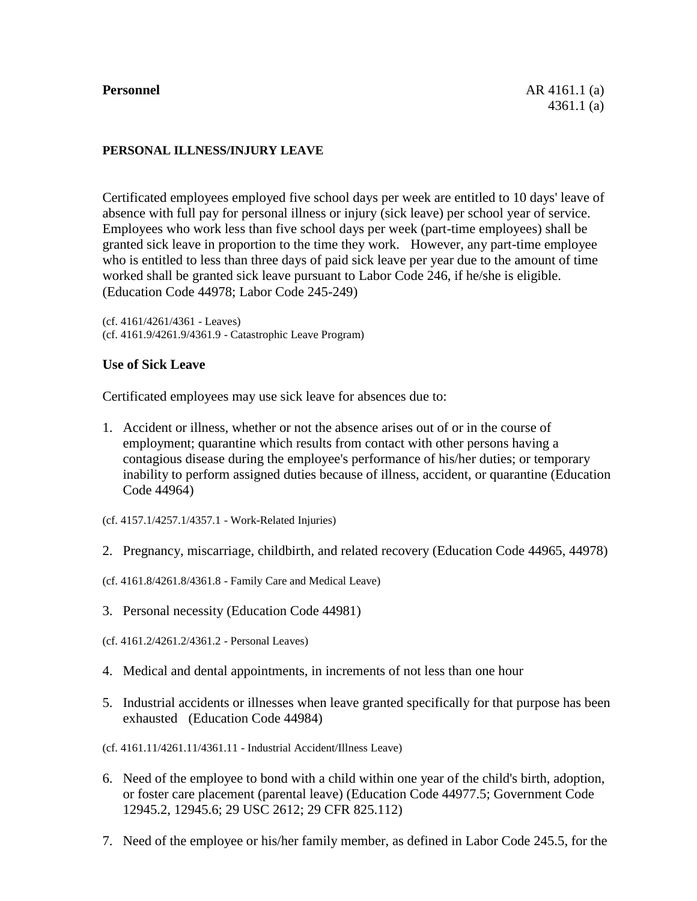# **PERSONAL ILLNESS/INJURY LEAVE**

Certificated employees employed five school days per week are entitled to 10 days' leave of absence with full pay for personal illness or injury (sick leave) per school year of service. Employees who work less than five school days per week (part-time employees) shall be granted sick leave in proportion to the time they work. However, any part-time employee who is entitled to less than three days of paid sick leave per year due to the amount of time worked shall be granted sick leave pursuant to Labor Code 246, if he/she is eligible. (Education Code 44978; Labor Code 245-249)

(cf. 4161/4261/4361 - Leaves) (cf. 4161.9/4261.9/4361.9 - Catastrophic Leave Program)

#### **Use of Sick Leave**

Certificated employees may use sick leave for absences due to:

- 1. Accident or illness, whether or not the absence arises out of or in the course of employment; quarantine which results from contact with other persons having a contagious disease during the employee's performance of his/her duties; or temporary inability to perform assigned duties because of illness, accident, or quarantine (Education Code 44964)
- (cf. 4157.1/4257.1/4357.1 Work-Related Injuries)
- 2. Pregnancy, miscarriage, childbirth, and related recovery (Education Code 44965, 44978)
- (cf. 4161.8/4261.8/4361.8 Family Care and Medical Leave)
- 3. Personal necessity (Education Code 44981)
- (cf. 4161.2/4261.2/4361.2 Personal Leaves)
- 4. Medical and dental appointments, in increments of not less than one hour
- 5. Industrial accidents or illnesses when leave granted specifically for that purpose has been exhausted (Education Code 44984)
- (cf. 4161.11/4261.11/4361.11 Industrial Accident/Illness Leave)
- 6. Need of the employee to bond with a child within one year of the child's birth, adoption, or foster care placement (parental leave) (Education Code 44977.5; Government Code 12945.2, 12945.6; 29 USC 2612; 29 CFR 825.112)
- 7. Need of the employee or his/her family member, as defined in Labor Code 245.5, for the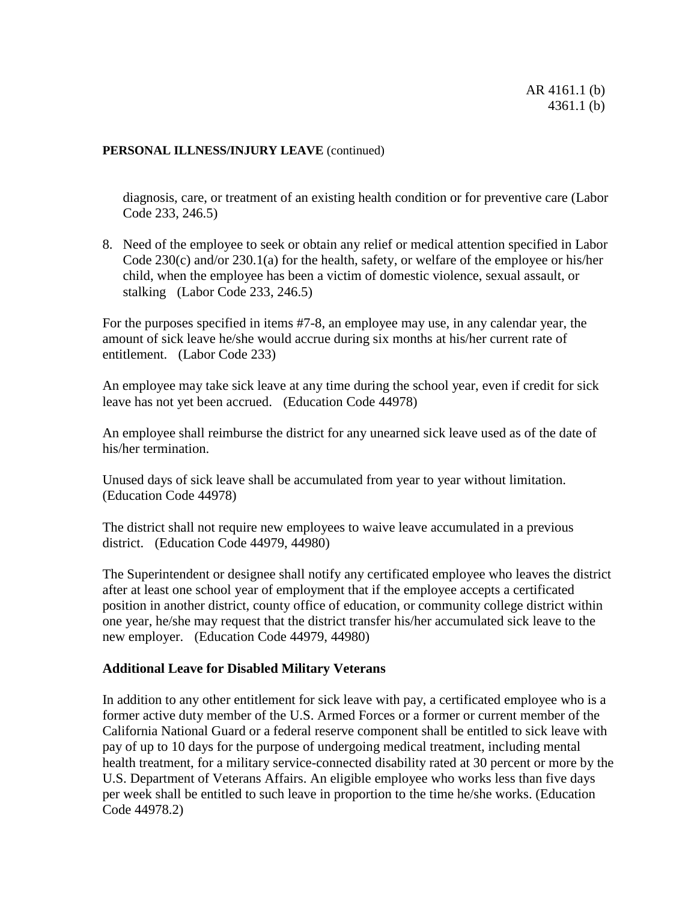diagnosis, care, or treatment of an existing health condition or for preventive care (Labor Code 233, 246.5)

8. Need of the employee to seek or obtain any relief or medical attention specified in Labor Code 230(c) and/or 230.1(a) for the health, safety, or welfare of the employee or his/her child, when the employee has been a victim of domestic violence, sexual assault, or stalking (Labor Code 233, 246.5)

For the purposes specified in items #7-8, an employee may use, in any calendar year, the amount of sick leave he/she would accrue during six months at his/her current rate of entitlement. (Labor Code 233)

An employee may take sick leave at any time during the school year, even if credit for sick leave has not yet been accrued. (Education Code 44978)

An employee shall reimburse the district for any unearned sick leave used as of the date of his/her termination.

Unused days of sick leave shall be accumulated from year to year without limitation. (Education Code 44978)

The district shall not require new employees to waive leave accumulated in a previous district. (Education Code 44979, 44980)

The Superintendent or designee shall notify any certificated employee who leaves the district after at least one school year of employment that if the employee accepts a certificated position in another district, county office of education, or community college district within one year, he/she may request that the district transfer his/her accumulated sick leave to the new employer. (Education Code 44979, 44980)

# **Additional Leave for Disabled Military Veterans**

In addition to any other entitlement for sick leave with pay, a certificated employee who is a former active duty member of the U.S. Armed Forces or a former or current member of the California National Guard or a federal reserve component shall be entitled to sick leave with pay of up to 10 days for the purpose of undergoing medical treatment, including mental health treatment, for a military service-connected disability rated at 30 percent or more by the U.S. Department of Veterans Affairs. An eligible employee who works less than five days per week shall be entitled to such leave in proportion to the time he/she works. (Education Code 44978.2)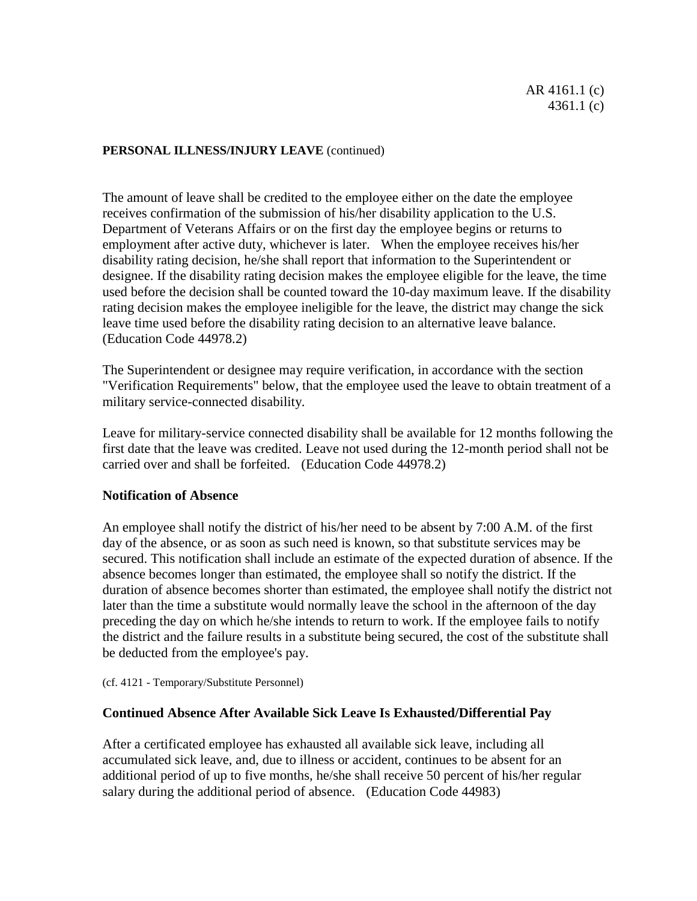The amount of leave shall be credited to the employee either on the date the employee receives confirmation of the submission of his/her disability application to the U.S. Department of Veterans Affairs or on the first day the employee begins or returns to employment after active duty, whichever is later. When the employee receives his/her disability rating decision, he/she shall report that information to the Superintendent or designee. If the disability rating decision makes the employee eligible for the leave, the time used before the decision shall be counted toward the 10-day maximum leave. If the disability rating decision makes the employee ineligible for the leave, the district may change the sick leave time used before the disability rating decision to an alternative leave balance. (Education Code 44978.2)

The Superintendent or designee may require verification, in accordance with the section "Verification Requirements" below, that the employee used the leave to obtain treatment of a military service-connected disability.

Leave for military-service connected disability shall be available for 12 months following the first date that the leave was credited. Leave not used during the 12-month period shall not be carried over and shall be forfeited. (Education Code 44978.2)

# **Notification of Absence**

An employee shall notify the district of his/her need to be absent by 7:00 A.M. of the first day of the absence, or as soon as such need is known, so that substitute services may be secured. This notification shall include an estimate of the expected duration of absence. If the absence becomes longer than estimated, the employee shall so notify the district. If the duration of absence becomes shorter than estimated, the employee shall notify the district not later than the time a substitute would normally leave the school in the afternoon of the day preceding the day on which he/she intends to return to work. If the employee fails to notify the district and the failure results in a substitute being secured, the cost of the substitute shall be deducted from the employee's pay.

(cf. 4121 - Temporary/Substitute Personnel)

# **Continued Absence After Available Sick Leave Is Exhausted/Differential Pay**

After a certificated employee has exhausted all available sick leave, including all accumulated sick leave, and, due to illness or accident, continues to be absent for an additional period of up to five months, he/she shall receive 50 percent of his/her regular salary during the additional period of absence. (Education Code 44983)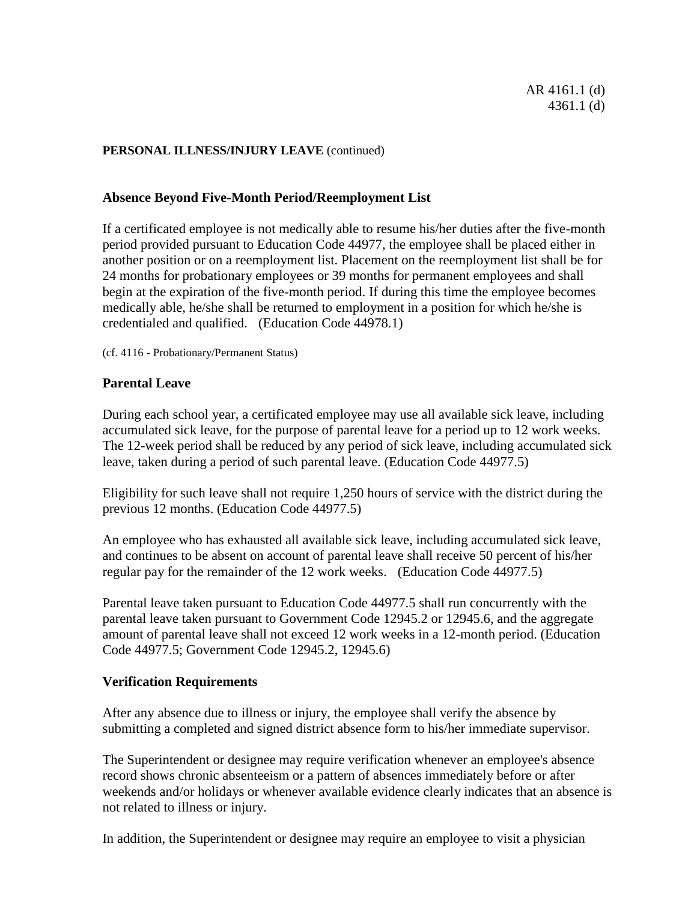## **Absence Beyond Five-Month Period/Reemployment List**

If a certificated employee is not medically able to resume his/her duties after the five-month period provided pursuant to Education Code 44977, the employee shall be placed either in another position or on a reemployment list. Placement on the reemployment list shall be for 24 months for probationary employees or 39 months for permanent employees and shall begin at the expiration of the five-month period. If during this time the employee becomes medically able, he/she shall be returned to employment in a position for which he/she is credentialed and qualified. (Education Code 44978.1)

(cf. 4116 - Probationary/Permanent Status)

## **Parental Leave**

During each school year, a certificated employee may use all available sick leave, including accumulated sick leave, for the purpose of parental leave for a period up to 12 work weeks. The 12-week period shall be reduced by any period of sick leave, including accumulated sick leave, taken during a period of such parental leave. (Education Code 44977.5)

Eligibility for such leave shall not require 1,250 hours of service with the district during the previous 12 months. (Education Code 44977.5)

An employee who has exhausted all available sick leave, including accumulated sick leave, and continues to be absent on account of parental leave shall receive 50 percent of his/her regular pay for the remainder of the 12 work weeks. (Education Code 44977.5)

Parental leave taken pursuant to Education Code 44977.5 shall run concurrently with the parental leave taken pursuant to Government Code 12945.2 or 12945.6, and the aggregate amount of parental leave shall not exceed 12 work weeks in a 12-month period. (Education Code 44977.5; Government Code 12945.2, 12945.6)

# **Verification Requirements**

After any absence due to illness or injury, the employee shall verify the absence by submitting a completed and signed district absence form to his/her immediate supervisor.

The Superintendent or designee may require verification whenever an employee's absence record shows chronic absenteeism or a pattern of absences immediately before or after weekends and/or holidays or whenever available evidence clearly indicates that an absence is not related to illness or injury.

In addition, the Superintendent or designee may require an employee to visit a physician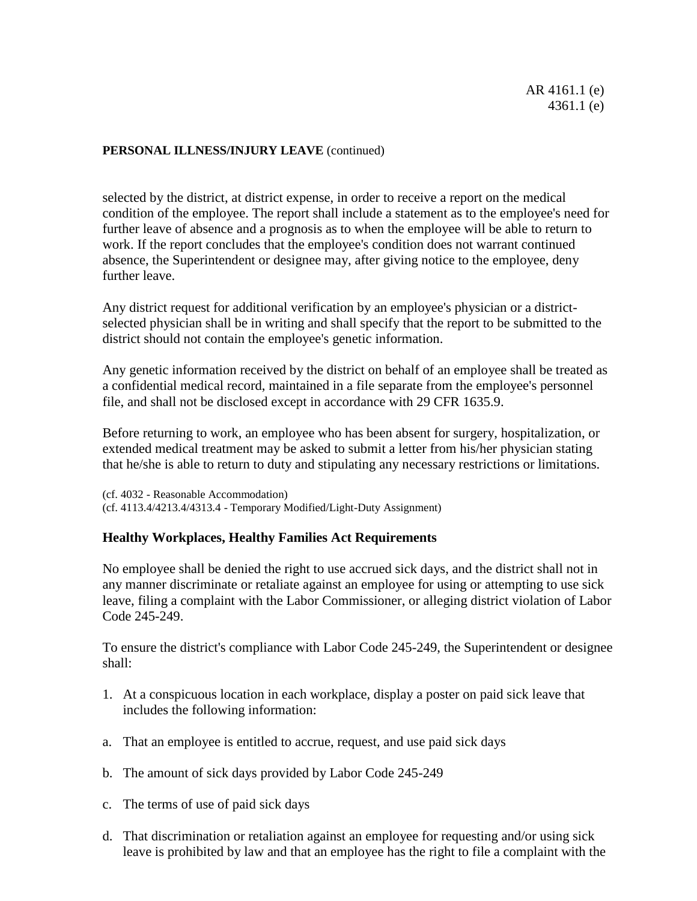selected by the district, at district expense, in order to receive a report on the medical condition of the employee. The report shall include a statement as to the employee's need for further leave of absence and a prognosis as to when the employee will be able to return to work. If the report concludes that the employee's condition does not warrant continued absence, the Superintendent or designee may, after giving notice to the employee, deny further leave.

Any district request for additional verification by an employee's physician or a districtselected physician shall be in writing and shall specify that the report to be submitted to the district should not contain the employee's genetic information.

Any genetic information received by the district on behalf of an employee shall be treated as a confidential medical record, maintained in a file separate from the employee's personnel file, and shall not be disclosed except in accordance with 29 CFR 1635.9.

Before returning to work, an employee who has been absent for surgery, hospitalization, or extended medical treatment may be asked to submit a letter from his/her physician stating that he/she is able to return to duty and stipulating any necessary restrictions or limitations.

(cf. 4032 - Reasonable Accommodation) (cf. 4113.4/4213.4/4313.4 - Temporary Modified/Light-Duty Assignment)

# **Healthy Workplaces, Healthy Families Act Requirements**

No employee shall be denied the right to use accrued sick days, and the district shall not in any manner discriminate or retaliate against an employee for using or attempting to use sick leave, filing a complaint with the Labor Commissioner, or alleging district violation of Labor Code 245-249.

To ensure the district's compliance with Labor Code 245-249, the Superintendent or designee shall:

- 1. At a conspicuous location in each workplace, display a poster on paid sick leave that includes the following information:
- a. That an employee is entitled to accrue, request, and use paid sick days
- b. The amount of sick days provided by Labor Code 245-249
- c. The terms of use of paid sick days
- d. That discrimination or retaliation against an employee for requesting and/or using sick leave is prohibited by law and that an employee has the right to file a complaint with the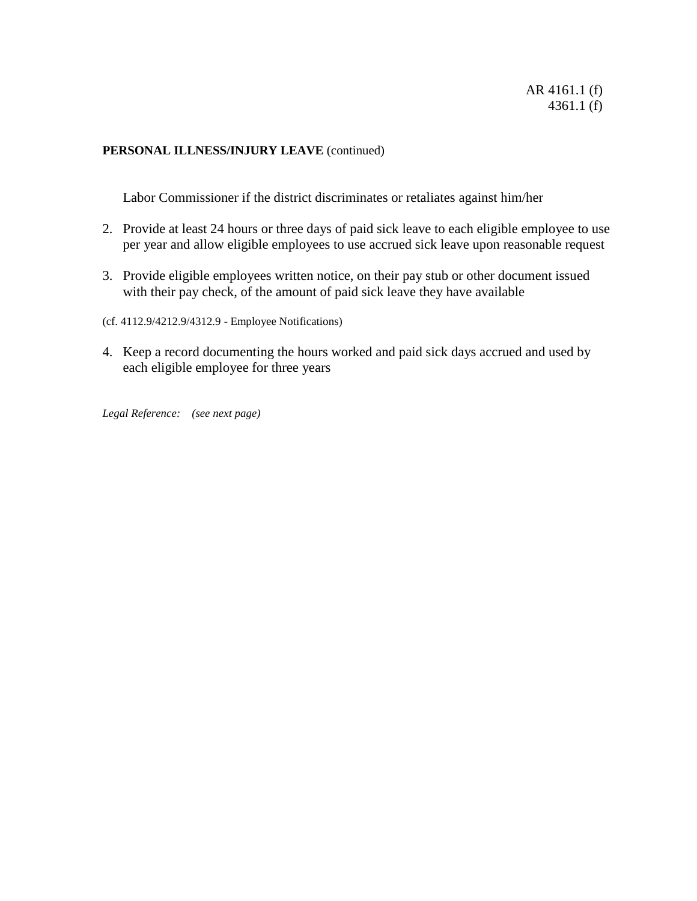Labor Commissioner if the district discriminates or retaliates against him/her

- 2. Provide at least 24 hours or three days of paid sick leave to each eligible employee to use per year and allow eligible employees to use accrued sick leave upon reasonable request
- 3. Provide eligible employees written notice, on their pay stub or other document issued with their pay check, of the amount of paid sick leave they have available

(cf. 4112.9/4212.9/4312.9 - Employee Notifications)

4. Keep a record documenting the hours worked and paid sick days accrued and used by each eligible employee for three years

*Legal Reference: (see next page)*